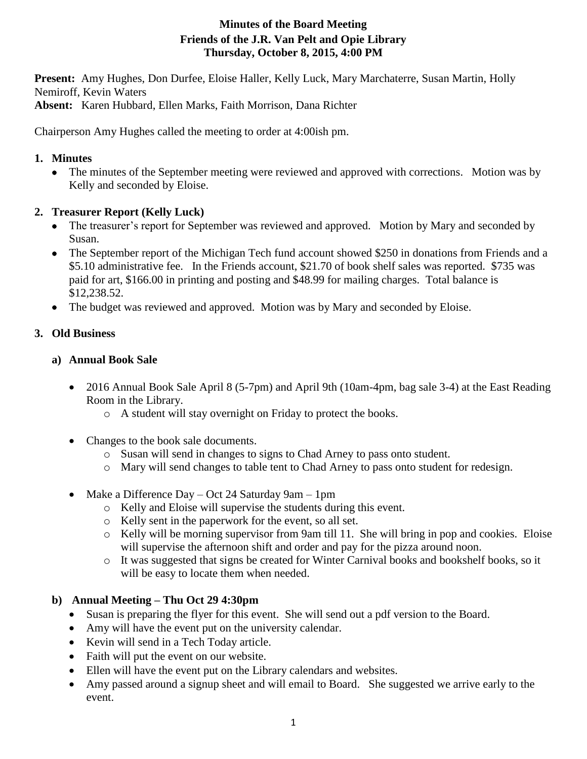# **Minutes of the Board Meeting Friends of the J.R. Van Pelt and Opie Library Thursday, October 8, 2015, 4:00 PM**

**Present:** Amy Hughes, Don Durfee, Eloise Haller, Kelly Luck, Mary Marchaterre, Susan Martin, Holly Nemiroff, Kevin Waters

**Absent:** Karen Hubbard, Ellen Marks, Faith Morrison, Dana Richter

Chairperson Amy Hughes called the meeting to order at 4:00ish pm.

## **1. Minutes**

• The minutes of the September meeting were reviewed and approved with corrections. Motion was by Kelly and seconded by Eloise.

## **2. Treasurer Report (Kelly Luck)**

- The treasurer's report for September was reviewed and approved. Motion by Mary and seconded by Susan.
- The September report of the Michigan Tech fund account showed \$250 in donations from Friends and a \$5.10 administrative fee. In the Friends account, \$21.70 of book shelf sales was reported. \$735 was paid for art, \$166.00 in printing and posting and \$48.99 for mailing charges. Total balance is \$12,238.52.
- The budget was reviewed and approved. Motion was by Mary and seconded by Eloise.

## **3. Old Business**

## **a) Annual Book Sale**

- 2016 Annual Book Sale April 8 (5-7pm) and April 9th (10am-4pm, bag sale 3-4) at the East Reading Room in the Library.
	- o A student will stay overnight on Friday to protect the books.
- Changes to the book sale documents.
	- o Susan will send in changes to signs to Chad Arney to pass onto student.
	- o Mary will send changes to table tent to Chad Arney to pass onto student for redesign.
- Make a Difference Day Oct 24 Saturday 9am 1pm
	- o Kelly and Eloise will supervise the students during this event.
	- o Kelly sent in the paperwork for the event, so all set.
	- o Kelly will be morning supervisor from 9am till 11. She will bring in pop and cookies. Eloise will supervise the afternoon shift and order and pay for the pizza around noon.
	- o It was suggested that signs be created for Winter Carnival books and bookshelf books, so it will be easy to locate them when needed.

# **b) Annual Meeting – Thu Oct 29 4:30pm**

- Susan is preparing the flyer for this event. She will send out a pdf version to the Board.
- Amy will have the event put on the university calendar.
- Kevin will send in a Tech Today article.
- Faith will put the event on our website.
- Ellen will have the event put on the Library calendars and websites.
- Amy passed around a signup sheet and will email to Board. She suggested we arrive early to the event.